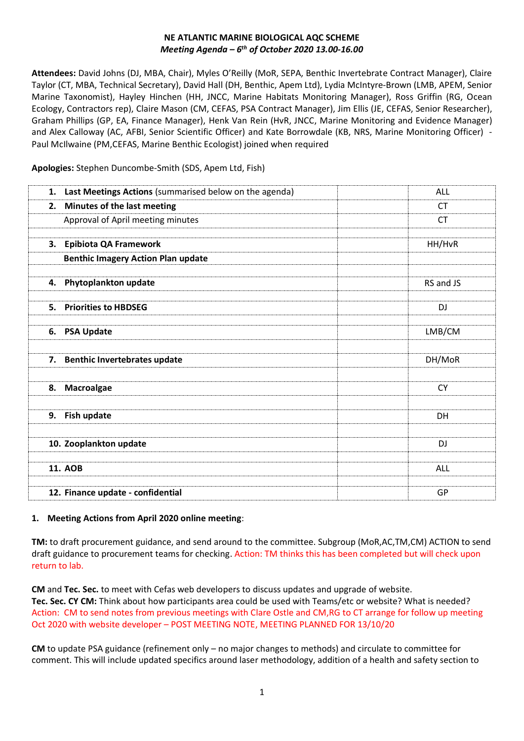### **NE ATLANTIC MARINE BIOLOGICAL AQC SCHEME**  *Meeting Agenda – 6 th of October 2020 13.00-16.00*

**Attendees:** David Johns (DJ, MBA, Chair), Myles O'Reilly (MoR, SEPA, Benthic Invertebrate Contract Manager), Claire Taylor (CT, MBA, Technical Secretary), David Hall (DH, Benthic, Apem Ltd), Lydia McIntyre-Brown (LMB, APEM, Senior Marine Taxonomist), Hayley Hinchen (HH, JNCC, Marine Habitats Monitoring Manager), Ross Griffin (RG, Ocean Ecology, Contractors rep), Claire Mason (CM, CEFAS, PSA Contract Manager), Jim Ellis (JE, CEFAS, Senior Researcher), Graham Phillips (GP, EA, Finance Manager), Henk Van Rein (HvR, JNCC, Marine Monitoring and Evidence Manager) and Alex Calloway (AC, AFBI, Senior Scientific Officer) and Kate Borrowdale (KB, NRS, Marine Monitoring Officer) - Paul McIlwaine (PM,CEFAS, Marine Benthic Ecologist) joined when required

**Apologies:** Stephen Duncombe-Smith (SDS, Apem Ltd, Fish)

| 1. | Last Meetings Actions (summarised below on the agenda) | ALL       |
|----|--------------------------------------------------------|-----------|
| 2. | Minutes of the last meeting                            | СT        |
|    | Approval of April meeting minutes                      | <b>CT</b> |
|    |                                                        |           |
|    | 3. Epibiota QA Framework                               | HH/HvR    |
|    | <b>Benthic Imagery Action Plan update</b>              |           |
|    |                                                        |           |
|    | 4. Phytoplankton update                                | RS and JS |
|    |                                                        |           |
|    | 5. Priorities to HBDSEG                                | DJ        |
|    | 6. PSA Update                                          | LMB/CM    |
|    |                                                        |           |
|    | 7. Benthic Invertebrates update                        |           |
|    |                                                        | DH/MoR    |
|    |                                                        |           |
|    | 8. Macroalgae                                          | <b>CY</b> |
|    |                                                        |           |
|    | 9. Fish update                                         | DH        |
|    |                                                        |           |
|    | 10. Zooplankton update                                 | <b>DJ</b> |
|    |                                                        |           |
|    | <b>11. AOB</b>                                         | ALL       |
|    |                                                        |           |
|    | 12. Finance update - confidential                      | GP        |

# **1. Meeting Actions from April 2020 online meeting**:

**TM:** to draft procurement guidance, and send around to the committee. Subgroup (MoR,AC,TM,CM) ACTION to send draft guidance to procurement teams for checking. Action: TM thinks this has been completed but will check upon return to lab.

**CM** and **Tec. Sec.** to meet with Cefas web developers to discuss updates and upgrade of website. **Tec. Sec. CY CM:** Think about how participants area could be used with Teams/etc or website? What is needed? Action: CM to send notes from previous meetings with Clare Ostle and CM,RG to CT arrange for follow up meeting Oct 2020 with website developer – POST MEETING NOTE, MEETING PLANNED FOR 13/10/20

**CM** to update PSA guidance (refinement only – no major changes to methods) and circulate to committee for comment. This will include updated specifics around laser methodology, addition of a health and safety section to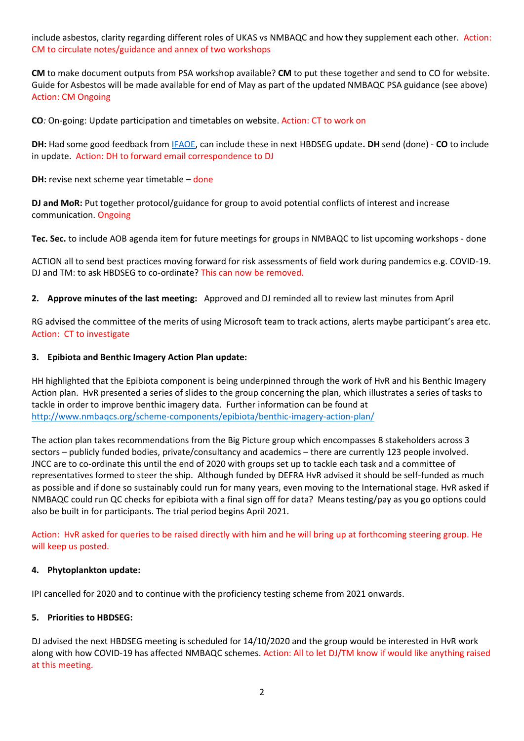include asbestos, clarity regarding different roles of UKAS vs NMBAQC and how they supplement each other. Action: CM to circulate notes/guidance and annex of two workshops

**CM** to make document outputs from PSA workshop available? **CM** to put these together and send to CO for website. Guide for Asbestos will be made available for end of May as part of the updated NMBAQC PSA guidance (see above) Action: CM Ongoing

**CO***:* On-going: Update participation and timetables on website. Action: CT to work on

**DH:** Had some good feedback from [IFAOE,](http://www.ifaoe.de/startseite.html) can include these in next HBDSEG update**. DH** send (done) - **CO** to include in update. Action: DH to forward email correspondence to DJ

**DH:** revise next scheme year timetable – done

**DJ and MoR:** Put together protocol/guidance for group to avoid potential conflicts of interest and increase communication. Ongoing

**Tec. Sec.** to include AOB agenda item for future meetings for groups in NMBAQC to list upcoming workshops - done

ACTION all to send best practices moving forward for risk assessments of field work during pandemics e.g. COVID-19. DJ and TM: to ask HBDSEG to co-ordinate? This can now be removed.

**2. Approve minutes of the last meeting:** Approved and DJ reminded all to review last minutes from April

RG advised the committee of the merits of using Microsoft team to track actions, alerts maybe participant's area etc. Action: CT to investigate

### **3. Epibiota and Benthic Imagery Action Plan update:**

HH highlighted that the Epibiota component is being underpinned through the work of HvR and his Benthic Imagery Action plan. HvR presented a series of slides to the group concerning the plan, which illustrates a series of tasks to tackle in order to improve benthic imagery data. Further information can be found at <http://www.nmbaqcs.org/scheme-components/epibiota/benthic-imagery-action-plan/>

The action plan takes recommendations from the Big Picture group which encompasses 8 stakeholders across 3 sectors – publicly funded bodies, private/consultancy and academics – there are currently 123 people involved. JNCC are to co-ordinate this until the end of 2020 with groups set up to tackle each task and a committee of representatives formed to steer the ship. Although funded by DEFRA HvR advised it should be self-funded as much as possible and if done so sustainably could run for many years, even moving to the International stage. HvR asked if NMBAQC could run QC checks for epibiota with a final sign off for data? Means testing/pay as you go options could also be built in for participants. The trial period begins April 2021.

Action: HvR asked for queries to be raised directly with him and he will bring up at forthcoming steering group. He will keep us posted.

#### **4. Phytoplankton update:**

IPI cancelled for 2020 and to continue with the proficiency testing scheme from 2021 onwards.

# **5. Priorities to HBDSEG:**

DJ advised the next HBDSEG meeting is scheduled for 14/10/2020 and the group would be interested in HvR work along with how COVID-19 has affected NMBAQC schemes. Action: All to let DJ/TM know if would like anything raised at this meeting.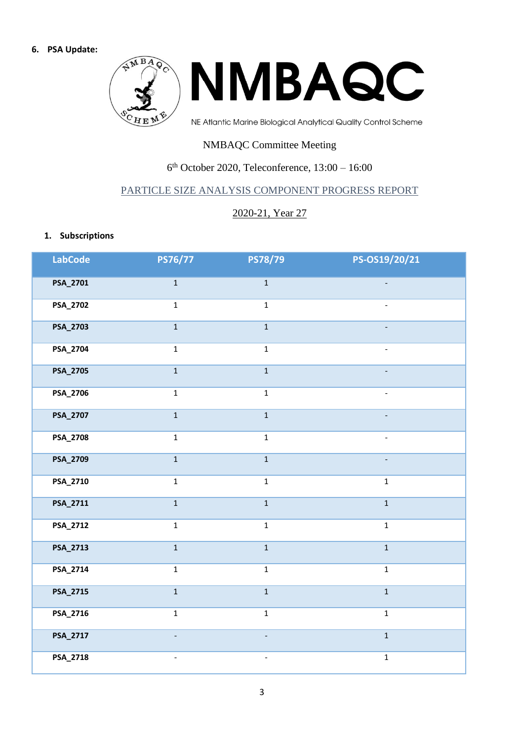#### **6. PSA Update:**



# NMBAQC Committee Meeting

# 6 th October 2020, Teleconference, 13:00 – 16:00

# PARTICLE SIZE ANALYSIS COMPONENT PROGRESS REPORT

# 2020-21, Year 27

### **1. Subscriptions**

| LabCode  | PS76/77                  | <b>PS78/79</b>           | PS-OS19/20/21            |
|----------|--------------------------|--------------------------|--------------------------|
| PSA_2701 | $\mathbf 1$              | $\mathbf 1$              | $\frac{1}{2}$            |
| PSA_2702 | $\mathbf{1}$             | $\mathbf 1$              | $\overline{\phantom{a}}$ |
| PSA_2703 | $\mathbf{1}$             | $\mathbf 1$              |                          |
| PSA_2704 | $\mathbf 1$              | $\mathbf 1$              | $\overline{\phantom{a}}$ |
| PSA_2705 | $\overline{1}$           | $\overline{\mathbf{1}}$  | $\overline{a}$           |
| PSA_2706 | $\mathbf 1$              | $\mathbf{1}$             | $\equiv$                 |
| PSA_2707 | $\mathbf 1$              | $\mathbf 1$              |                          |
| PSA_2708 | $\mathbf 1$              | $\mathbf 1$              | $\blacksquare$           |
| PSA_2709 | $\mathbf 1$              | $\mathbf 1$              | $\overline{a}$           |
| PSA_2710 | $\mathbf 1$              | $\mathbf 1$              | $\mathbf 1$              |
| PSA_2711 | $\mathbf 1$              | $\mathbf 1$              | $\mathbf{1}$             |
| PSA_2712 | $\mathbf 1$              | $\mathbf 1$              | $\mathbf 1$              |
| PSA_2713 | $\mathbf{1}$             | $\mathbf 1$              | $\mathbf{1}$             |
| PSA_2714 | $\mathbf{1}$             | $\mathbf 1$              | $\mathbf 1$              |
| PSA_2715 | $\overline{1}$           | $\mathbf{1}$             | $\overline{1}$           |
| PSA_2716 | $\mathbf{1}$             | $\mathbf 1$              | $\mathbf 1$              |
| PSA_2717 | $\overline{\phantom{0}}$ | $\frac{1}{2}$            | $\mathbf 1$              |
| PSA_2718 | $\overline{\phantom{a}}$ | $\overline{\phantom{a}}$ | $\mathbf 1$              |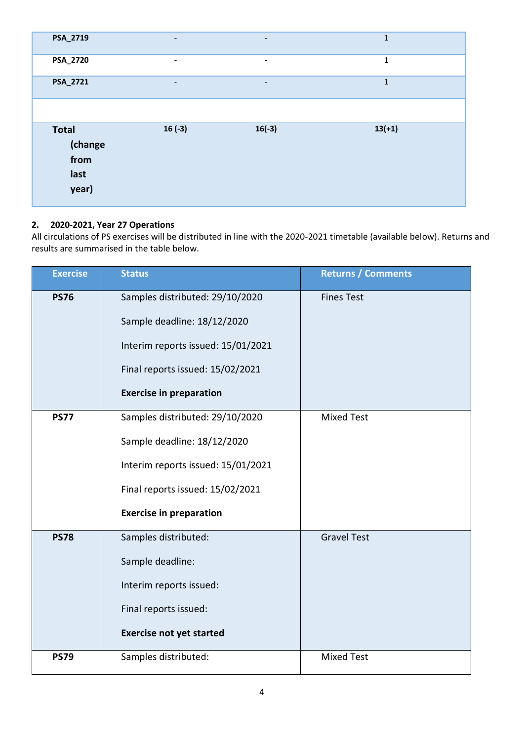| PSA_2719                                         | $\overline{\phantom{a}}$ | $\overline{\phantom{a}}$ | $\mathbf{1}$ |
|--------------------------------------------------|--------------------------|--------------------------|--------------|
| PSA_2720                                         | $\overline{\phantom{a}}$ | $\overline{\phantom{a}}$ | 1            |
| PSA_2721                                         | $\overline{\phantom{a}}$ | -                        | $\mathbf{1}$ |
|                                                  |                          |                          |              |
| <b>Total</b><br>(change<br>from<br>last<br>year) | $16(-3)$                 | $16(-3)$                 | $13(+1)$     |

# **2. 2020-2021, Year 27 Operations**

All circulations of PS exercises will be distributed in line with the 2020-2021 timetable (available below). Returns and results are summarised in the table below.

| <b>Exercise</b> | <b>Status</b>                      | <b>Returns / Comments</b> |
|-----------------|------------------------------------|---------------------------|
| <b>PS76</b>     | Samples distributed: 29/10/2020    | <b>Fines Test</b>         |
|                 | Sample deadline: 18/12/2020        |                           |
|                 | Interim reports issued: 15/01/2021 |                           |
|                 | Final reports issued: 15/02/2021   |                           |
|                 | <b>Exercise in preparation</b>     |                           |
| <b>PS77</b>     | Samples distributed: 29/10/2020    | <b>Mixed Test</b>         |
|                 | Sample deadline: 18/12/2020        |                           |
|                 | Interim reports issued: 15/01/2021 |                           |
|                 | Final reports issued: 15/02/2021   |                           |
|                 | <b>Exercise in preparation</b>     |                           |
| <b>PS78</b>     | Samples distributed:               | <b>Gravel Test</b>        |
|                 | Sample deadline:                   |                           |
|                 | Interim reports issued:            |                           |
|                 | Final reports issued:              |                           |
|                 | <b>Exercise not yet started</b>    |                           |
| <b>PS79</b>     | Samples distributed:               | <b>Mixed Test</b>         |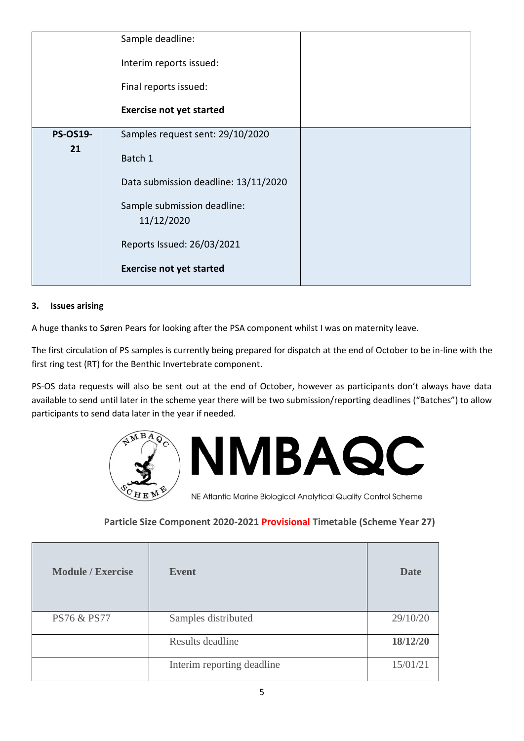|                 | Sample deadline:                          |  |
|-----------------|-------------------------------------------|--|
|                 | Interim reports issued:                   |  |
|                 | Final reports issued:                     |  |
|                 | <b>Exercise not yet started</b>           |  |
| <b>PS-OS19-</b> | Samples request sent: 29/10/2020          |  |
| 21              | Batch 1                                   |  |
|                 | Data submission deadline: 13/11/2020      |  |
|                 | Sample submission deadline:<br>11/12/2020 |  |
|                 | Reports Issued: 26/03/2021                |  |
|                 | <b>Exercise not yet started</b>           |  |

# **3. Issues arising**

A huge thanks to Søren Pears for looking after the PSA component whilst I was on maternity leave.

The first circulation of PS samples is currently being prepared for dispatch at the end of October to be in-line with the first ring test (RT) for the Benthic Invertebrate component.

PS-OS data requests will also be sent out at the end of October, however as participants don't always have data available to send until later in the scheme year there will be two submission/reporting deadlines ("Batches") to allow participants to send data later in the year if needed.



# **Particle Size Component 2020-2021 Provisional Timetable (Scheme Year 27)**

| <b>Module / Exercise</b> | <b>Event</b>               | <b>Date</b> |
|--------------------------|----------------------------|-------------|
| <b>PS76 &amp; PS77</b>   | Samples distributed        | 29/10/20    |
|                          | Results deadline           | 18/12/20    |
|                          | Interim reporting deadline | 15/01/21    |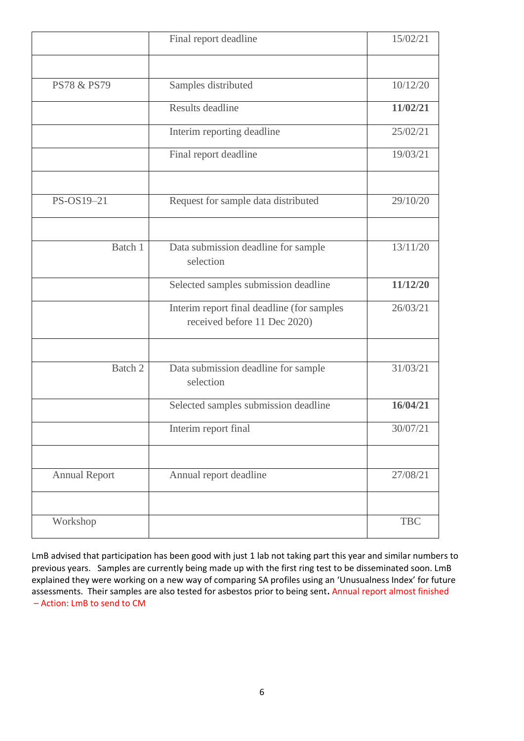|                        | Final report deadline                                                      | 15/02/21   |
|------------------------|----------------------------------------------------------------------------|------------|
| <b>PS78 &amp; PS79</b> | Samples distributed                                                        | 10/12/20   |
|                        | Results deadline                                                           | 11/02/21   |
|                        | Interim reporting deadline                                                 | 25/02/21   |
|                        | Final report deadline                                                      | 19/03/21   |
| PS-OS19-21             | Request for sample data distributed                                        | 29/10/20   |
| Batch 1                | Data submission deadline for sample<br>selection                           | 13/11/20   |
|                        | Selected samples submission deadline                                       | 11/12/20   |
|                        | Interim report final deadline (for samples<br>received before 11 Dec 2020) | 26/03/21   |
|                        |                                                                            |            |
| Batch 2                | Data submission deadline for sample<br>selection                           | 31/03/21   |
|                        | Selected samples submission deadline                                       | 16/04/21   |
|                        | Interim report final                                                       | 30/07/21   |
| <b>Annual Report</b>   | Annual report deadline                                                     | 27/08/21   |
| Workshop               |                                                                            | <b>TBC</b> |

LmB advised that participation has been good with just 1 lab not taking part this year and similar numbers to previous years. Samples are currently being made up with the first ring test to be disseminated soon. LmB explained they were working on a new way of comparing SA profiles using an 'Unusualness Index' for future assessments. Their samples are also tested for asbestos prior to being sent**.** Annual report almost finished – Action: LmB to send to CM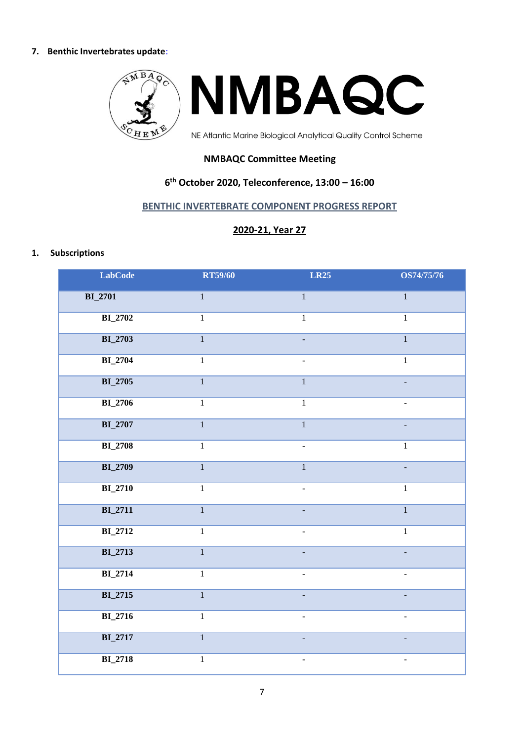#### **7. Benthic Invertebrates update**:



# **NMBAQC Committee Meeting**

# **6 th October 2020, Teleconference, 13:00 – 16:00**

### **BENTHIC INVERTEBRATE COMPONENT PROGRESS REPORT**

# **2020-21, Year 27**

#### **1. Subscriptions**

| <b>LabCode</b> | <b>RT59/60</b> | <b>LR25</b>    | <b>OS74/75/76</b>        |
|----------------|----------------|----------------|--------------------------|
| <b>BI_2701</b> | $\,1\,$        | $\mathbf{1}$   | $\,1\,$                  |
| <b>BI_2702</b> | $\mathbf{1}$   | $\mathbf{1}$   | $\mathbf{1}$             |
| <b>BI_2703</b> | $\overline{1}$ |                | $\overline{1}$           |
| <b>BI_2704</b> | $\overline{1}$ |                | $\overline{1}$           |
| <b>BI_2705</b> | $\overline{1}$ | $\overline{1}$ |                          |
| <b>BI_2706</b> | $\mathbf{1}$   | $\overline{1}$ |                          |
| <b>BI_2707</b> | $\overline{1}$ | $\overline{1}$ |                          |
| <b>BI_2708</b> | $\overline{1}$ |                | $\overline{1}$           |
| <b>BI_2709</b> | $\overline{1}$ | $\overline{1}$ |                          |
| <b>BI_2710</b> | $\mathbf 1$    |                | $\mathbf{1}$             |
| <b>BI_2711</b> | $\overline{1}$ |                | $\overline{1}$           |
| <b>BI_2712</b> | $\overline{1}$ |                | $\overline{1}$           |
| <b>BI_2713</b> | $\overline{1}$ |                | $\overline{a}$           |
| <b>BI_2714</b> | $\overline{1}$ | ÷,             | $\overline{\phantom{0}}$ |
| <b>BI_2715</b> | $\overline{1}$ | $\equiv$       | $\equiv$                 |
| <b>BI_2716</b> | $\overline{1}$ | ÷,             | $\overline{a}$           |
| BI_2717        | $\mathbf{1}$   |                | L,                       |
| <b>BI_2718</b> | $\,1$          | ÷,             | $\overline{\phantom{m}}$ |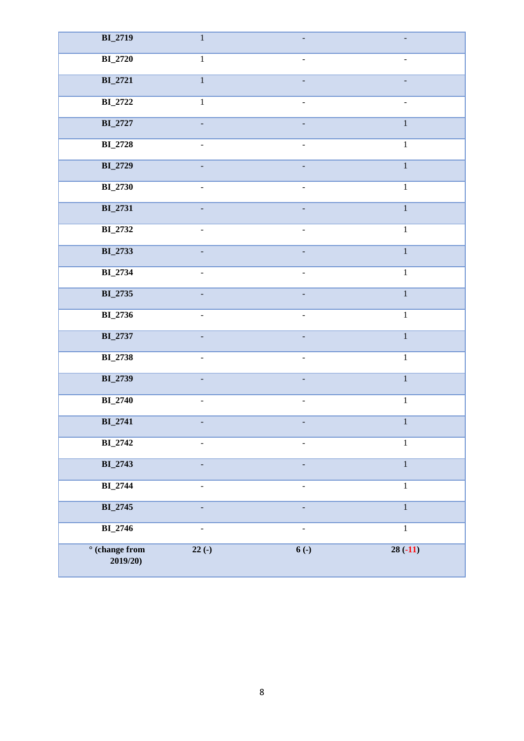| <b>BI_2719</b>                     | $\mathbf{1}$   |                              |                |
|------------------------------------|----------------|------------------------------|----------------|
| <b>BI_2720</b>                     | $\mathbf{1}$   | $\overline{a}$               |                |
| <b>BI_2721</b>                     | $\overline{1}$ |                              |                |
| <b>BI_2722</b>                     | $\mathbf{1}$   | $\overline{a}$               |                |
| <b>BI_2727</b>                     |                |                              | $\overline{1}$ |
| <b>BI_2728</b>                     | ÷.             | $\overline{a}$               | $\mathbf{1}$   |
| <b>BI_2729</b>                     |                |                              | $\mathbf{1}$   |
| <b>BI_2730</b>                     |                | $\overline{a}$               | $\mathbf{1}$   |
| <b>BI_2731</b>                     |                |                              | $\overline{1}$ |
| <b>BI_2732</b>                     |                |                              | $\overline{1}$ |
| <b>BI_2733</b>                     |                |                              | $\mathbf{1}$   |
| <b>BI_2734</b>                     | $\overline{a}$ | $\qquad \qquad \blacksquare$ | $\mathbf{1}$   |
| <b>BI_2735</b>                     |                |                              | $\mathbf{1}$   |
| <b>BI_2736</b>                     | $\blacksquare$ | $\overline{a}$               | $\,1\,$        |
| <b>BI_2737</b>                     |                |                              | $\mathbf{1}$   |
| <b>BI_2738</b>                     | $\overline{a}$ | $\overline{a}$               | $\mathbf{1}$   |
| <b>BI_2739</b>                     |                | ÷,                           | $\mathbf{1}$   |
| <b>BI_2740</b>                     |                |                              | $\,1\,$        |
| <b>BI_2741</b>                     |                |                              | $\mathbf{1}$   |
| BI_2742                            | $\blacksquare$ | $\frac{1}{2}$                | $\mathbf{1}$   |
| <b>BI_2743</b>                     |                |                              | $\,1\,$        |
| $\mathbf{BI}\_2$ 744               | $\blacksquare$ | $\overline{\phantom{0}}$     | $\,1\,$        |
| <b>BI_2745</b>                     | $\Box$         | ÷,                           | $\,1\,$        |
| <b>BI_2746</b>                     | $\blacksquare$ | $\blacksquare$               | $\overline{1}$ |
| $\degree$ (change from<br>2019/20) | $22(-)$        | $6($ - $)$                   | $28(-11)$      |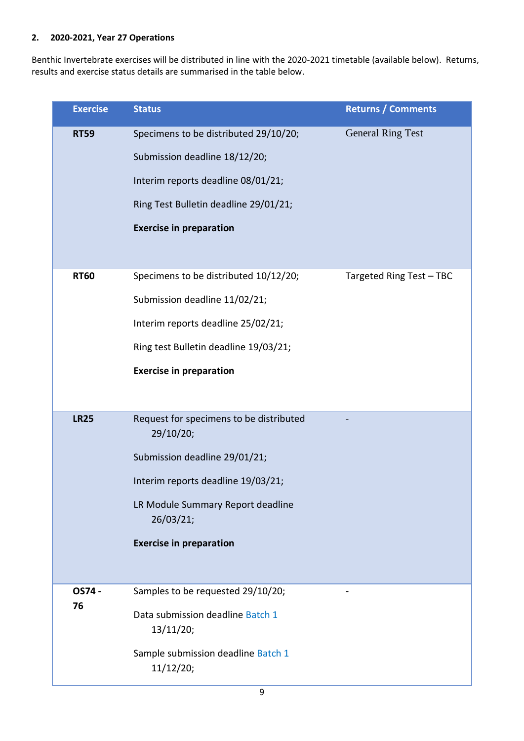# **2. 2020-2021, Year 27 Operations**

L

Benthic Invertebrate exercises will be distributed in line with the 2020-2021 timetable (available below). Returns, results and exercise status details are summarised in the table below.

| <b>Exercise</b> | <b>Status</b>                                        | <b>Returns / Comments</b> |
|-----------------|------------------------------------------------------|---------------------------|
| <b>RT59</b>     | Specimens to be distributed 29/10/20;                | <b>General Ring Test</b>  |
|                 | Submission deadline 18/12/20;                        |                           |
|                 | Interim reports deadline 08/01/21;                   |                           |
|                 | Ring Test Bulletin deadline 29/01/21;                |                           |
|                 | <b>Exercise in preparation</b>                       |                           |
|                 |                                                      |                           |
| <b>RT60</b>     | Specimens to be distributed 10/12/20;                | Targeted Ring Test - TBC  |
|                 | Submission deadline 11/02/21;                        |                           |
|                 | Interim reports deadline 25/02/21;                   |                           |
|                 | Ring test Bulletin deadline 19/03/21;                |                           |
|                 | <b>Exercise in preparation</b>                       |                           |
|                 |                                                      |                           |
| <b>LR25</b>     | Request for specimens to be distributed<br>29/10/20; |                           |
|                 | Submission deadline 29/01/21;                        |                           |
|                 | Interim reports deadline 19/03/21;                   |                           |
|                 | LR Module Summary Report deadline<br>26/03/21;       |                           |
|                 | <b>Exercise in preparation</b>                       |                           |
|                 |                                                      |                           |
| OS74 -          | Samples to be requested 29/10/20;                    |                           |
| 76              | Data submission deadline Batch 1<br>13/11/20;        |                           |
|                 | Sample submission deadline Batch 1<br>11/12/20;      |                           |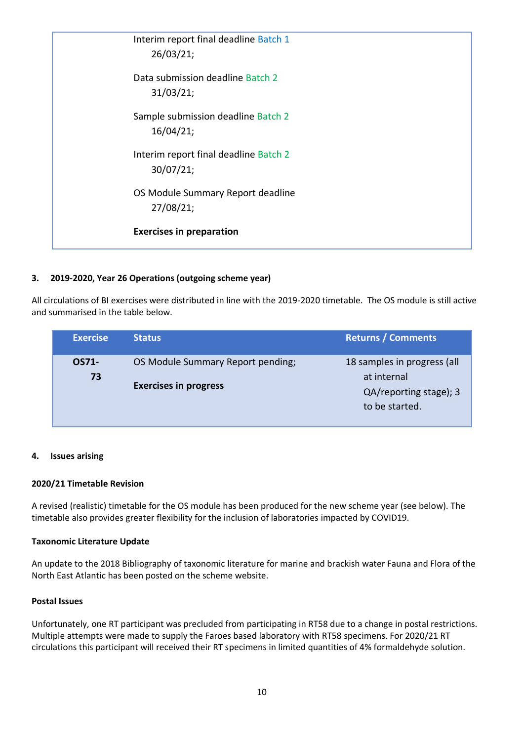| Interim report final deadline Batch 1<br>26/03/21; |  |
|----------------------------------------------------|--|
| Data submission deadline Batch 2<br>31/03/21;      |  |
| Sample submission deadline Batch 2<br>16/04/21;    |  |
| Interim report final deadline Batch 2<br>30/07/21; |  |
| OS Module Summary Report deadline<br>27/08/21;     |  |
| <b>Exercises in preparation</b>                    |  |

# **3. 2019-2020, Year 26 Operations (outgoing scheme year)**

All circulations of BI exercises were distributed in line with the 2019-2020 timetable. The OS module is still active and summarised in the table below.

| <b>Exercise</b> | <b>Status</b>                                                     | <b>Returns / Comments</b>                                                              |
|-----------------|-------------------------------------------------------------------|----------------------------------------------------------------------------------------|
| OS71-<br>73     | OS Module Summary Report pending;<br><b>Exercises in progress</b> | 18 samples in progress (all<br>at internal<br>QA/reporting stage); 3<br>to be started. |

#### **4. Issues arising**

#### **2020/21 Timetable Revision**

A revised (realistic) timetable for the OS module has been produced for the new scheme year (see below). The timetable also provides greater flexibility for the inclusion of laboratories impacted by COVID19.

#### **Taxonomic Literature Update**

An update to the 2018 Bibliography of taxonomic literature for marine and brackish water Fauna and Flora of the North East Atlantic has been posted on the scheme website.

#### **Postal Issues**

Unfortunately, one RT participant was precluded from participating in RT58 due to a change in postal restrictions. Multiple attempts were made to supply the Faroes based laboratory with RT58 specimens. For 2020/21 RT circulations this participant will received their RT specimens in limited quantities of 4% formaldehyde solution.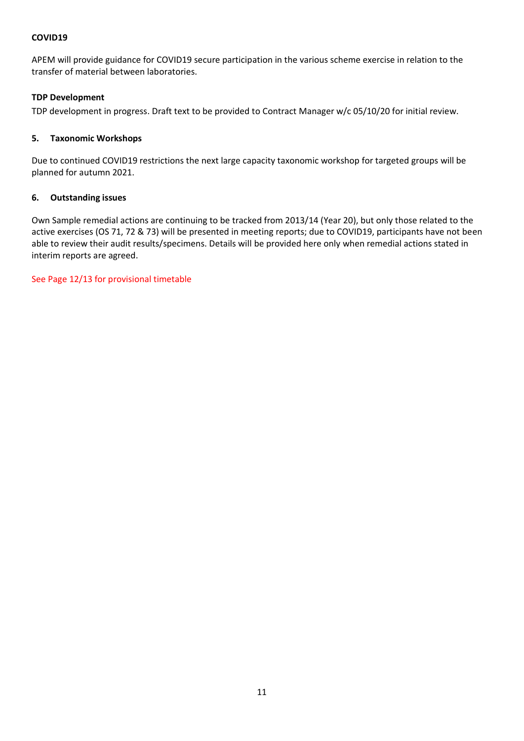### **COVID19**

APEM will provide guidance for COVID19 secure participation in the various scheme exercise in relation to the transfer of material between laboratories.

### **TDP Development**

TDP development in progress. Draft text to be provided to Contract Manager w/c 05/10/20 for initial review.

#### **5. Taxonomic Workshops**

Due to continued COVID19 restrictions the next large capacity taxonomic workshop for targeted groups will be planned for autumn 2021.

#### **6. Outstanding issues**

Own Sample remedial actions are continuing to be tracked from 2013/14 (Year 20), but only those related to the active exercises (OS 71, 72 & 73) will be presented in meeting reports; due to COVID19, participants have not been able to review their audit results/specimens. Details will be provided here only when remedial actions stated in interim reports are agreed.

See Page 12/13 for provisional timetable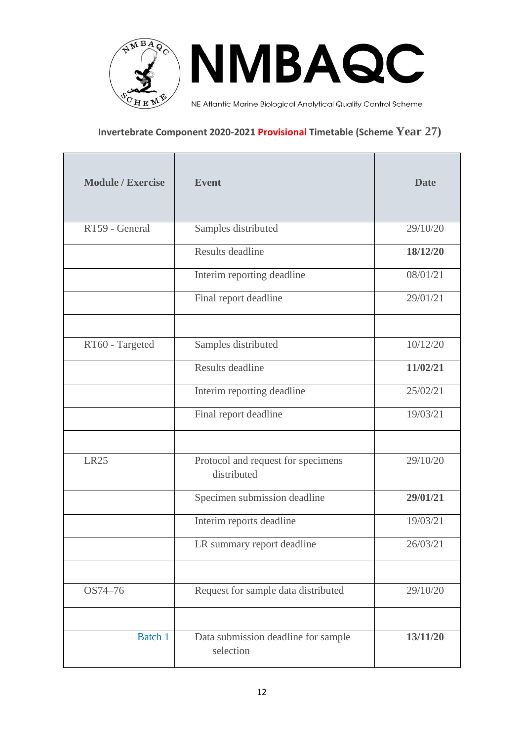

NMBAQC

NE Atlantic Marine Biological Analytical Quality Control Scheme

# **Invertebrate Component 2020-2021 Provisional Timetable (Scheme Year 27)**

| <b>Module / Exercise</b> | <b>Event</b>                                      | <b>Date</b> |
|--------------------------|---------------------------------------------------|-------------|
| RT59 - General           | Samples distributed                               | 29/10/20    |
|                          | Results deadline                                  | 18/12/20    |
|                          | Interim reporting deadline                        | 08/01/21    |
|                          | Final report deadline                             | 29/01/21    |
|                          |                                                   |             |
| RT60 - Targeted          | Samples distributed                               | 10/12/20    |
|                          | Results deadline                                  | 11/02/21    |
|                          | Interim reporting deadline                        | 25/02/21    |
|                          | Final report deadline                             | 19/03/21    |
| <b>LR25</b>              | Protocol and request for specimens<br>distributed | 29/10/20    |
|                          | Specimen submission deadline                      | 29/01/21    |
|                          | Interim reports deadline                          | 19/03/21    |
|                          | LR summary report deadline                        | 26/03/21    |
|                          |                                                   |             |
| OS74-76                  | Request for sample data distributed               | 29/10/20    |
| Batch 1                  | Data submission deadline for sample<br>selection  | 13/11/20    |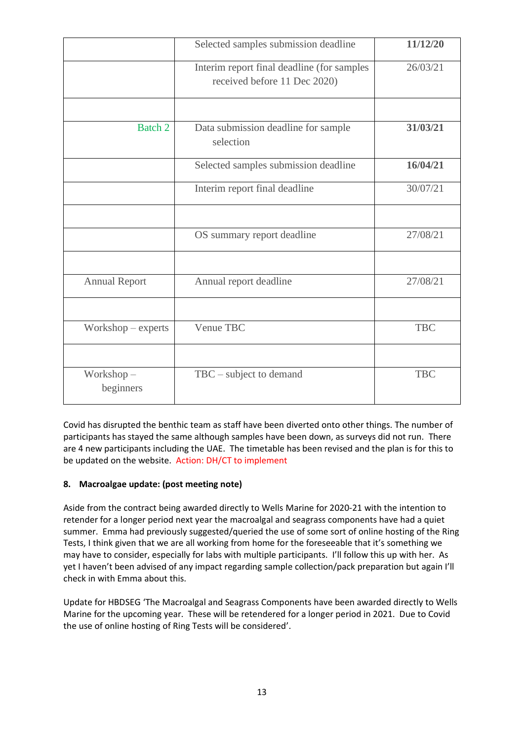|                        | Selected samples submission deadline                                       | 11/12/20   |
|------------------------|----------------------------------------------------------------------------|------------|
|                        | Interim report final deadline (for samples<br>received before 11 Dec 2020) | 26/03/21   |
|                        |                                                                            |            |
| Batch 2                | Data submission deadline for sample<br>selection                           | 31/03/21   |
|                        | Selected samples submission deadline                                       | 16/04/21   |
|                        | Interim report final deadline                                              | 30/07/21   |
|                        |                                                                            |            |
|                        | OS summary report deadline                                                 | 27/08/21   |
|                        |                                                                            |            |
| <b>Annual Report</b>   | Annual report deadline                                                     | 27/08/21   |
|                        |                                                                            |            |
| Workshop – experts     | Venue TBC                                                                  | <b>TBC</b> |
|                        |                                                                            |            |
| Workshop-<br>beginners | TBC - subject to demand                                                    | <b>TBC</b> |

Covid has disrupted the benthic team as staff have been diverted onto other things. The number of participants has stayed the same although samples have been down, as surveys did not run. There are 4 new participants including the UAE. The timetable has been revised and the plan is for this to be updated on the website. Action: DH/CT to implement

# **8. Macroalgae update: (post meeting note)**

Aside from the contract being awarded directly to Wells Marine for 2020-21 with the intention to retender for a longer period next year the macroalgal and seagrass components have had a quiet summer. Emma had previously suggested/queried the use of some sort of online hosting of the Ring Tests, I think given that we are all working from home for the foreseeable that it's something we may have to consider, especially for labs with multiple participants. I'll follow this up with her. As yet I haven't been advised of any impact regarding sample collection/pack preparation but again I'll check in with Emma about this.

Update for HBDSEG 'The Macroalgal and Seagrass Components have been awarded directly to Wells Marine for the upcoming year. These will be retendered for a longer period in 2021. Due to Covid the use of online hosting of Ring Tests will be considered'.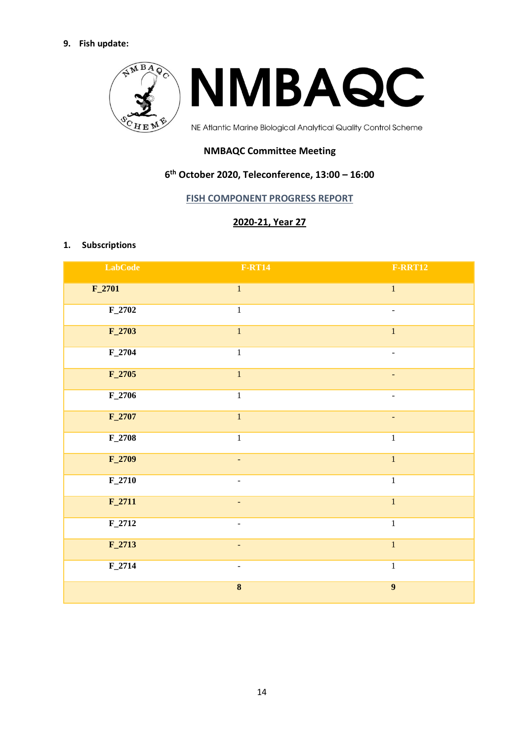### **9. Fish update:**



# **NMBAQC Committee Meeting**

# **6 th October 2020, Teleconference, 13:00 – 16:00**

### **FISH COMPONENT PROGRESS REPORT**

# **2020-21, Year 27**

#### **1. Subscriptions**

| <b>LabCode</b> | <b>F-RT14</b>            | <b>F-RRT12</b>               |
|----------------|--------------------------|------------------------------|
| $F_2$ 701      | $\,1\,$                  | $1\,$                        |
| $F_2$ 702      | $1\,$                    | $\qquad \qquad \blacksquare$ |
| $F_2$ 703      | $\overline{1}$           | $\overline{1}$               |
| $F_2$ 704      | $\mathbf 1$              | $\overline{\phantom{a}}$     |
| $F_2705$       | $\mathbf{1}$             | $\blacksquare$               |
| $F_2$ 706      | $\overline{1}$           | $\blacksquare$               |
| $F_2707$       | $1\,$                    | $\overline{\phantom{a}}$     |
| $F_2$ 708      | $\overline{1}$           | $\mathbf 1$                  |
| $F_2$ 709      | ÷,                       | $\overline{1}$               |
| $F_2$ 710      | $\blacksquare$           | $\mathbf 1$                  |
| $F_2$ 711      |                          | $\overline{1}$               |
| $F_2$ 712      | ÷,                       | $\overline{1}$               |
| $F_2$ 713      | $\overline{\phantom{a}}$ | $\mathbf{1}$                 |
| $F_2$ 714      | -                        | $\,1\,$                      |
|                | $\overline{\mathbf{8}}$  | $\overline{9}$               |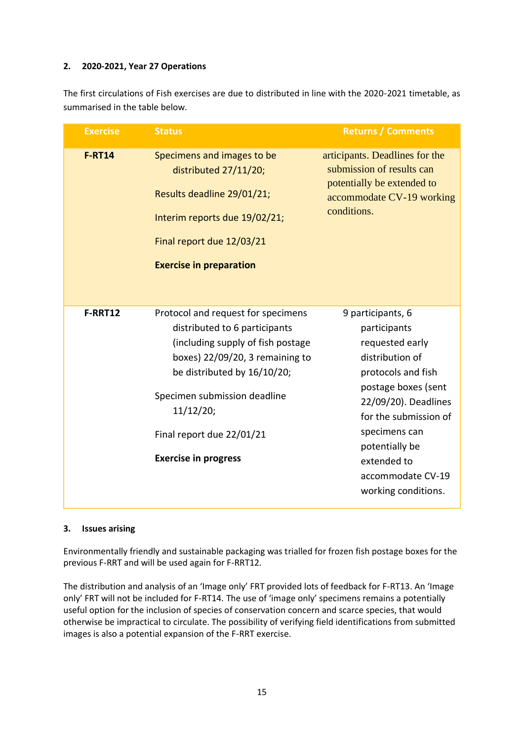# **2. 2020-2021, Year 27 Operations**

The first circulations of Fish exercises are due to distributed in line with the 2020-2021 timetable, as summarised in the table below.

| <b>Exercise</b> | <b>Status</b>                                                                                                                                                                                                                                                                       | <b>Returns / Comments</b>                                                                                                                                                                                                                                           |
|-----------------|-------------------------------------------------------------------------------------------------------------------------------------------------------------------------------------------------------------------------------------------------------------------------------------|---------------------------------------------------------------------------------------------------------------------------------------------------------------------------------------------------------------------------------------------------------------------|
| <b>F-RT14</b>   | Specimens and images to be<br>distributed 27/11/20;<br>Results deadline 29/01/21;<br>Interim reports due 19/02/21;<br>Final report due 12/03/21<br><b>Exercise in preparation</b>                                                                                                   | articipants. Deadlines for the<br>submission of results can<br>potentially be extended to<br>accommodate CV-19 working<br>conditions.                                                                                                                               |
| F-RRT12         | Protocol and request for specimens<br>distributed to 6 participants<br>(including supply of fish postage<br>boxes) 22/09/20, 3 remaining to<br>be distributed by 16/10/20;<br>Specimen submission deadline<br>11/12/20;<br>Final report due 22/01/21<br><b>Exercise in progress</b> | 9 participants, 6<br>participants<br>requested early<br>distribution of<br>protocols and fish<br>postage boxes (sent<br>22/09/20). Deadlines<br>for the submission of<br>specimens can<br>potentially be<br>extended to<br>accommodate CV-19<br>working conditions. |

#### **3. Issues arising**

Environmentally friendly and sustainable packaging was trialled for frozen fish postage boxes for the previous F-RRT and will be used again for F-RRT12.

The distribution and analysis of an 'Image only' FRT provided lots of feedback for F-RT13. An 'Image only' FRT will not be included for F-RT14. The use of 'image only' specimens remains a potentially useful option for the inclusion of species of conservation concern and scarce species, that would otherwise be impractical to circulate. The possibility of verifying field identifications from submitted images is also a potential expansion of the F-RRT exercise.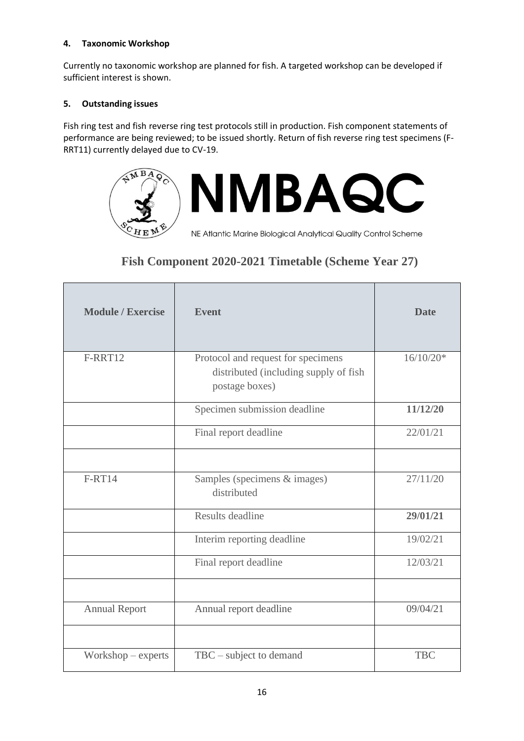# **4. Taxonomic Workshop**

Currently no taxonomic workshop are planned for fish. A targeted workshop can be developed if sufficient interest is shown.

# **5. Outstanding issues**

Fish ring test and fish reverse ring test protocols still in production. Fish component statements of performance are being reviewed; to be issued shortly. Return of fish reverse ring test specimens (F-RRT11) currently delayed due to CV-19.



NE Atlantic Marine Biological Analytical Quality Control Scheme

# **Fish Component 2020-2021 Timetable (Scheme Year 27)**

| <b>Module / Exercise</b> | <b>Event</b>                                                                                  | <b>Date</b> |
|--------------------------|-----------------------------------------------------------------------------------------------|-------------|
| F-RRT12                  | Protocol and request for specimens<br>distributed (including supply of fish<br>postage boxes) | $16/10/20*$ |
|                          | Specimen submission deadline                                                                  | 11/12/20    |
|                          | Final report deadline                                                                         | 22/01/21    |
|                          |                                                                                               |             |
| <b>F-RT14</b>            | Samples (specimens & images)<br>distributed                                                   | 27/11/20    |
|                          | Results deadline                                                                              | 29/01/21    |
|                          | Interim reporting deadline                                                                    | 19/02/21    |
|                          | Final report deadline                                                                         | 12/03/21    |
|                          |                                                                                               |             |
| <b>Annual Report</b>     | Annual report deadline                                                                        | 09/04/21    |
|                          |                                                                                               |             |
| $Workshop - experts$     | $TBC$ – subject to demand                                                                     | <b>TBC</b>  |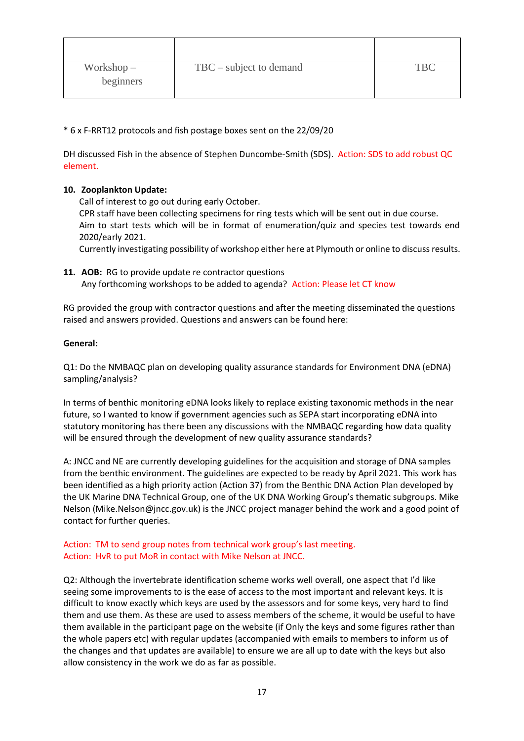| $Workshop -$<br>beginners | $TBC - subject to demand$ | <b>TBC</b> |
|---------------------------|---------------------------|------------|

\* 6 x F-RRT12 protocols and fish postage boxes sent on the 22/09/20

DH discussed Fish in the absence of Stephen Duncombe-Smith (SDS). Action: SDS to add robust QC element.

### **10. Zooplankton Update:**

Call of interest to go out during early October.

CPR staff have been collecting specimens for ring tests which will be sent out in due course. Aim to start tests which will be in format of enumeration/quiz and species test towards end 2020/early 2021.

Currently investigating possibility of workshop either here at Plymouth or online to discuss results.

**11. AOB:** RG to provide update re contractor questions Any forthcoming workshops to be added to agenda? Action: Please let CT know

RG provided the group with contractor questions.and after the meeting disseminated the questions raised and answers provided. Questions and answers can be found here:

#### **General:**

Q1: Do the NMBAQC plan on developing quality assurance standards for Environment DNA (eDNA) sampling/analysis?

In terms of benthic monitoring eDNA looks likely to replace existing taxonomic methods in the near future, so I wanted to know if government agencies such as SEPA start incorporating eDNA into statutory monitoring has there been any discussions with the NMBAQC regarding how data quality will be ensured through the development of new quality assurance standards?

A: JNCC and NE are currently developing guidelines for the acquisition and storage of DNA samples from the benthic environment. The guidelines are expected to be ready by April 2021. This work has been identified as a high priority action (Action 37) from the Benthic DNA Action Plan developed by the UK Marine DNA Technical Group, one of the UK DNA Working Group's thematic subgroups. Mike Nelson (Mike.Nelson@jncc.gov.uk) is the JNCC project manager behind the work and a good point of contact for further queries.

### Action: TM to send group notes from technical work group's last meeting. Action: HvR to put MoR in contact with Mike Nelson at JNCC.

Q2: Although the invertebrate identification scheme works well overall, one aspect that I'd like seeing some improvements to is the ease of access to the most important and relevant keys. It is difficult to know exactly which keys are used by the assessors and for some keys, very hard to find them and use them. As these are used to assess members of the scheme, it would be useful to have them available in the participant page on the website (if Only the keys and some figures rather than the whole papers etc) with regular updates (accompanied with emails to members to inform us of the changes and that updates are available) to ensure we are all up to date with the keys but also allow consistency in the work we do as far as possible.